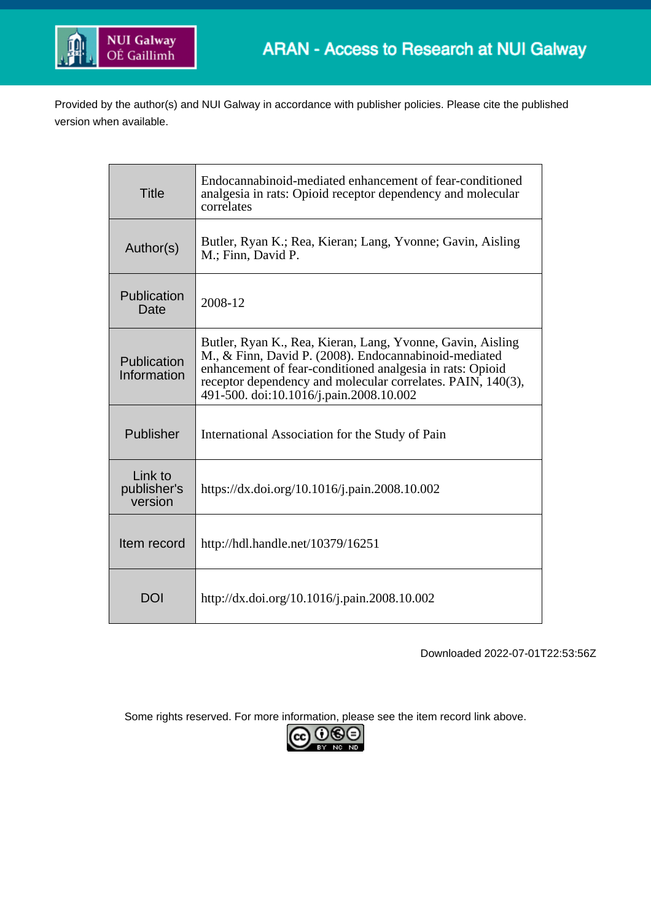

Provided by the author(s) and NUI Galway in accordance with publisher policies. Please cite the published version when available.

| <b>Title</b>                      | Endocannabinoid-mediated enhancement of fear-conditioned<br>analgesia in rats: Opioid receptor dependency and molecular<br>correlates                                                                                                                                                      |
|-----------------------------------|--------------------------------------------------------------------------------------------------------------------------------------------------------------------------------------------------------------------------------------------------------------------------------------------|
| Author(s)                         | Butler, Ryan K.; Rea, Kieran; Lang, Yvonne; Gavin, Aisling<br>M.; Finn, David P.                                                                                                                                                                                                           |
| Publication<br>Date               | 2008-12                                                                                                                                                                                                                                                                                    |
| Publication<br>Information        | Butler, Ryan K., Rea, Kieran, Lang, Yvonne, Gavin, Aisling<br>M., & Finn, David P. (2008). Endocannabinoid-mediated<br>enhancement of fear-conditioned analgesia in rats: Opioid<br>receptor dependency and molecular correlates. PAIN, 140(3),<br>491-500. doi:10.1016/j.pain.2008.10.002 |
| Publisher                         | International Association for the Study of Pain                                                                                                                                                                                                                                            |
| Link to<br>publisher's<br>version | https://dx.doi.org/10.1016/j.pain.2008.10.002                                                                                                                                                                                                                                              |
| Item record                       | http://hdl.handle.net/10379/16251                                                                                                                                                                                                                                                          |
| DOI                               | http://dx.doi.org/10.1016/j.pain.2008.10.002                                                                                                                                                                                                                                               |

Downloaded 2022-07-01T22:53:56Z

Some rights reserved. For more information, please see the item record link above.

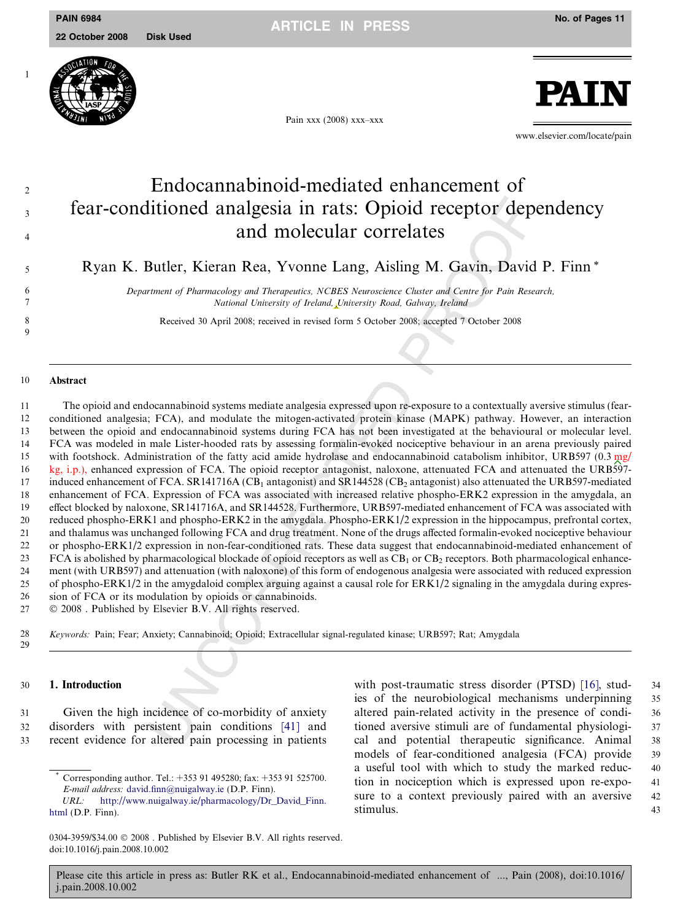

Pain xxx (2008) xxx–xxx



www.elsevier.com/locate/pain

# $\sum_{n=1}^{\infty}$  Endocannabinoid-mediated enhancement of <sup>3</sup> fear-conditioned analgesia in rats: Opioid receptor dependency and molecular correlates

<sup>5</sup> Ryan K. Butler, Kieran Rea, Yvonne Lang, Aisling M. Gavin, David P. Finn \*

6 Department of Pharmacology and Therapeutics, NCBES Neuroscience Cluster and Centre for Pain Research, 7 National University of Ireland, University Road, Galway, Ireland

8 Received 30 April 2008; received in revised form 5 October 2008; accepted 7 October 2008

#### 10 Abstract

 $\overline{Q}$ 

It<br>itionned analgesia in rats: Opioid receptor dep<br>and molecular correlates<br>and molecular correlates<br>Butler, Kieran Rea, Yvonne Lang, Aisling M. Gavin, David<br>
memorial of Phammadogy and Therapenties. NGBES Neuroscine Class The opioid and endocannabinoid systems mediate analgesia expressed upon re-exposure to a contextually aversive stimulus (fear- conditioned analgesia; FCA), and modulate the mitogen-activated protein kinase (MAPK) pathway. However, an interaction between the opioid and endocannabinoid systems during FCA has not been investigated at the behavioural or molecular level. FCA was modeled in male Lister-hooded rats by assessing formalin-evoked nociceptive behaviour in an arena previously paired 15 with footshock. Administration of the fatty acid amide hydrolase and endocannabinoid catabolism inhibitor, URB597 (0.3 mg/ kg, i.p.), enhanced expression of FCA. The opioid receptor antagonist, naloxone, attenuated FCA and attenuated the URB597- 17 induced enhancement of FCA. SR141716A (CB<sub>1</sub> antagonist) and SR144528 (CB<sub>2</sub> antagonist) also attenuated the URB597-mediated enhancement of FCA. Expression of FCA was associated with increased relative phospho-ERK2 expression in the amygdala, an effect blocked by naloxone, SR141716A, and SR144528. Furthermore, URB597-mediated enhancement of FCA was associated with reduced phospho-ERK1 and phospho-ERK2 in the amygdala. Phospho-ERK1/2 expression in the hippocampus, prefrontal cortex, and thalamus was unchanged following FCA and drug treatment. None of the drugs affected formalin-evoked nociceptive behaviour or phospho-ERK1/2 expression in non-fear-conditioned rats. These data suggest that endocannabinoid-mediated enhancement of FCA is abolished by pharmacological blockade of opioid receptors as well as  $CB<sub>1</sub>$  or  $CB<sub>2</sub>$  receptors. Both pharmacological enhance- ment (with URB597) and attenuation (with naloxone) of this form of endogenous analgesia were associated with reduced expression of phospho-ERK1/2 in the amygdaloid complex arguing against a causal role for ERK1/2 signaling in the amygdala during expres-sion of FCA or its modulation by opioids or cannabinoids.

 $27$ © 2008 . Published by Elsevier B.V. All rights reserved.

28 Keywords: Pain; Fear; Anxiety; Cannabinoid; Opioid; Extracellular signal-regulated kinase; URB597; Rat; Amygdala 29

# 30 1. Introduction

31 Given the high incidence of co-morbidity of anxiety 32 disorders with persistent pain conditions [41] and 33 recent evidence for altered pain processing in patients

with post-traumatic stress disorder (PTSD) [\[16\],](#page-10-0) stud-34 ies of the neurobiological mechanisms underpinning 35 altered pain-related activity in the presence of condi- 36 tioned aversive stimuli are of fundamental physiologi- 37 cal and potential therapeutic significance. Animal 38 models of fear-conditioned analgesia (FCA) provide 39 a useful tool with which to study the marked reduc- 40 tion in nociception which is expressed upon re-expo- 41 sure to a context previously paired with an aversive 42 stimulus. 43

<sup>&</sup>lt;sup>\*</sup> Corresponding author. Tel.: +353 91 495280; fax: +353 91 525700.<br> *E-mail address*: david.finn@nuigalway.ie (D.P. Finn).<br> *URL:* http://www.nuigalway.ie/pharmacology/Dr\_David\_Finn.<br>
html (D.P. Finn).<br>
0304-3959/\$34.00 E-mail address: [david.finn@nuigalway.ie](mailto:david.finn@nuigalway.ie) (D.P. Finn). [http://www.nuigalway.ie/pharmacology/Dr\\_David\\_Finn.](http://www.nuigalway.ie/pharmacology/Dr_David_Finn. html) [html](http://www.nuigalway.ie/pharmacology/Dr_David_Finn. html) (D.P. Finn).

<sup>0304-3959/\$34.00 © 2008.</sup> Published by Elsevier B.V. All rights reserved.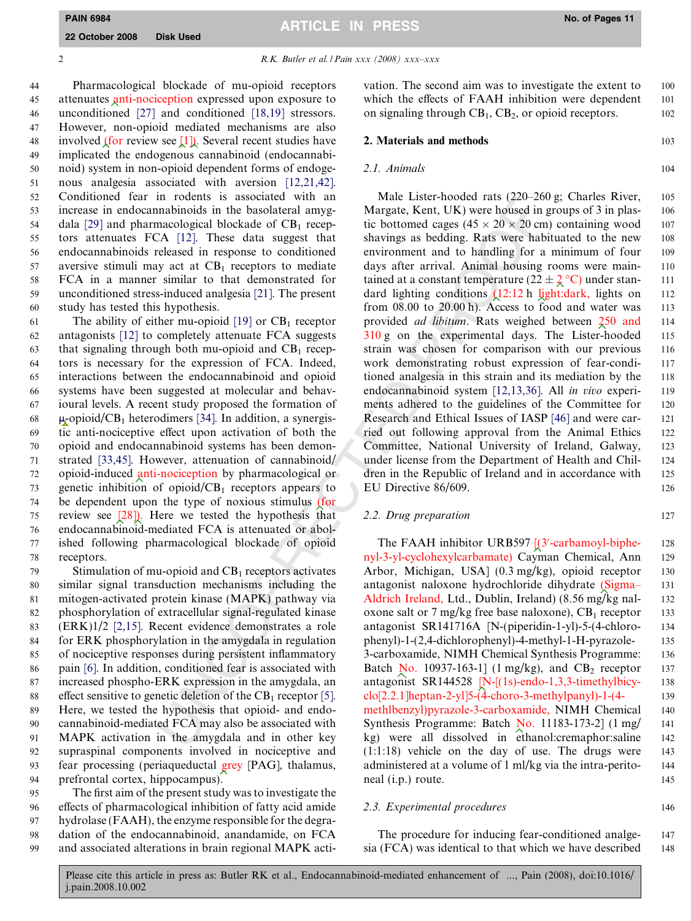PAIN 6984 No. of Pages 11 ARTICLE IN PRESS

2 R.K. Butler et al. / Pain xxx (2008) xxx-xxx

 Pharmacological blockade of mu-opioid receptors attenuates anti-nociception expressed upon exposure to unconditioned [\[27\]](#page-10-0) and conditioned [\[18,19\]](#page-10-0) stressors. However, non-opioid mediated mechanisms are also 48 involved (for review see  $[1]$ ). Several recent studies have implicated the endogenous cannabinoid (endocannabi- noid) system in non-opioid dependent forms of endoge- nous analgesia associated with aversion [\[12,21,42\]](#page-10-0). Conditioned fear in rodents is associated with an increase in endocannabinoids in the basolateral amyg-54 dala [\[29\]](#page-10-0) and pharmacological blockade of  $CB_1$  recep- tors attenuates FCA [\[12\]](#page-10-0). These data suggest that endocannabinoids released in response to conditioned 57 aversive stimuli may act at  $CB_1$  receptors to mediate FCA in a manner similar to that demonstrated for unconditioned stress-induced analgesia [\[21\]](#page-10-0). The present study has tested this hypothesis.

61 The ability of either mu-opioid  $[19]$  or  $CB<sub>1</sub>$  receptor antagonists [\[12\]](#page-10-0) to completely attenuate FCA suggests 63 that signaling through both mu-opioid and  $CB_1$  recep- tors is necessary for the expression of FCA. Indeed, interactions between the endocannabinoid and opioid systems have been suggested at molecular and behav- ioural levels. A recent study proposed the formation of 68  $\mu$ -opioid/CB<sub>1</sub> heterodimers [34]. In addition, a synergis- tic anti-nociceptive effect upon activation of both the opioid and endocannabinoid systems has been demon- strated [\[33,45\].](#page-10-0) However, attenuation of cannabinoid/ opioid-induced anti-nociception by pharmacological or genetic inhibition of opioid/CB<sub>1</sub> receptors appears to be dependent upon the type of noxious stimulus (for review see [\[28\]](#page-10-0)). Here we tested the hypothesis that endocannabinoid-mediated FCA is attenuated or abol- ished following pharmacological blockade of opioid receptors.

 Stimulation of mu-opioid and  $CB_1$  receptors activates similar signal transduction mechanisms including the mitogen-activated protein kinase (MAPK) pathway via phosphorylation of extracellular signal-regulated kinase (ERK)1/2 [\[2,15\].](#page-10-0) Recent evidence demonstrates a role for ERK phosphorylation in the amygdala in regulation of nociceptive responses during persistent inflammatory pain [\[6\].](#page-10-0) In addition, conditioned fear is associated with increased phospho-ERK expression in the amygdala, an 88 effect sensitive to genetic deletion of the  $CB_1$  receptor [5]. Here, we tested the hypothesis that opioid- and endo- cannabinoid-mediated FCA may also be associated with MAPK activation in the amygdala and in other key supraspinal components involved in nociceptive and fear processing (periaqueductal grey [PAG], thalamus, prefrontal cortex, hippocampus).

 The first aim of the present study was to investigate the effects of pharmacological inhibition of fatty acid amide hydrolase (FAAH), the enzyme responsible for the degra- dation of the endocannabinoid, anandamide, on FCA and associated alterations in brain regional MAPK activation. The second aim was to investigate the extent to 100 which the effects of FAAH inhibition were dependent 101 on signaling through  $CB_1$ ,  $CB_2$ , or opioid receptors. 102

#### 2. Materials and methods 103

#### 2.1. Animals 104

m Youter Issense<br>
Theorem is a weak to the constant of the constant of the constant in<br>this in the basolateral amage Margate, Kent, UK) were housed in<br>mabinoids in the basolateral amage Margate, Kent, UK) were housed in<br>A Male Lister-hooded rats (220–260 g; Charles River, 105 Margate, Kent, UK) were housed in groups of 3 in plas- 106 tic bottomed cages  $(45 \times 20 \times 20 \text{ cm})$  containing wood 107 shavings as bedding. Rats were habituated to the new 108 environment and to handling for a minimum of four 109 days after arrival. Animal housing rooms were main- 110 tained at a constant temperature  $(22 \pm 2)$ °C) under stan- 111 dard lighting conditions  $(12:12 \text{ h} \text{ light:} \text{dark}, \text{ lights} \text{ on } 112)$ from 08.00 to 20.00 h). Access to food and water was 113 provided *ad libitum*. Rats weighed between  $\frac{250}{250}$  and 114 310 g on the experimental days. The Lister-hooded 115 strain was chosen for comparison with our previous 116 work demonstrating robust expression of fear-condi- 117 tioned analgesia in this strain and its mediation by the 118 endocannabinoid system [\[12,13,36\].](#page-10-0) All in vivo experi- 119 ments adhered to the guidelines of the Committee for 120 Research and Ethical Issues of IASP [\[46\]](#page-11-0) and were car- 121 ried out following approval from the Animal Ethics 122 Committee, National University of Ireland, Galway, 123 under license from the Department of Health and Chil- 124 dren in the Republic of Ireland and in accordance with 125 EU Directive 86/609. 126

# 2.2. Drug preparation 127

The FAAH inhibitor URB597 [(3'-carbamoyl-biphe- 128 nyl-3-yl-cyclohexylcarbamate) Cayman Chemical, Ann 129 Arbor, Michigan, USA] (0.3 mg/kg), opioid receptor 130 antagonist naloxone hydrochloride dihydrate (Sigma– 131 Aldrich Ireland, Ltd., Dublin, Ireland) (8.56 mg/kg nal- 132 oxone salt or 7 mg/kg free base naloxone),  $CB_1$  receptor 133 antagonist SR141716A [N-(piperidin-1-yl)-5-(4-chloro- 134 phenyl)-1-(2,4-dichlorophenyl)-4-methyl-1-H-pyrazole- 135 3-carboxamide, NIMH Chemical Synthesis Programme: 136 Batch  $\overline{N}$ o. 10937-163-1] (1 mg/kg), and CB<sub>2</sub> receptor 137 antagonist SR144528 [N-[(1s)-endo-1,3,3-timethylbicy- 138 clo[2.2.1]heptan-2-yl]5-(4-choro-3-methylpanyl)-1-(4- 139 methlbenzyl)pyrazole-3-carboxamide, NIMH Chemical 140 Synthesis Programme: Batch No. 11183-173-2] (1 mg/ 141 kg) were all dissolved in ethanol:cremaphor:saline 142 (1:1:18) vehicle on the day of use. The drugs were 143 administered at a volume of 1 ml/kg via the intra-perito- 144 neal (i.p.) route. 145

#### 2.3. Experimental procedures 146

The procedure for inducing fear-conditioned analge-<br>147 sia (FCA) was identical to that which we have described 148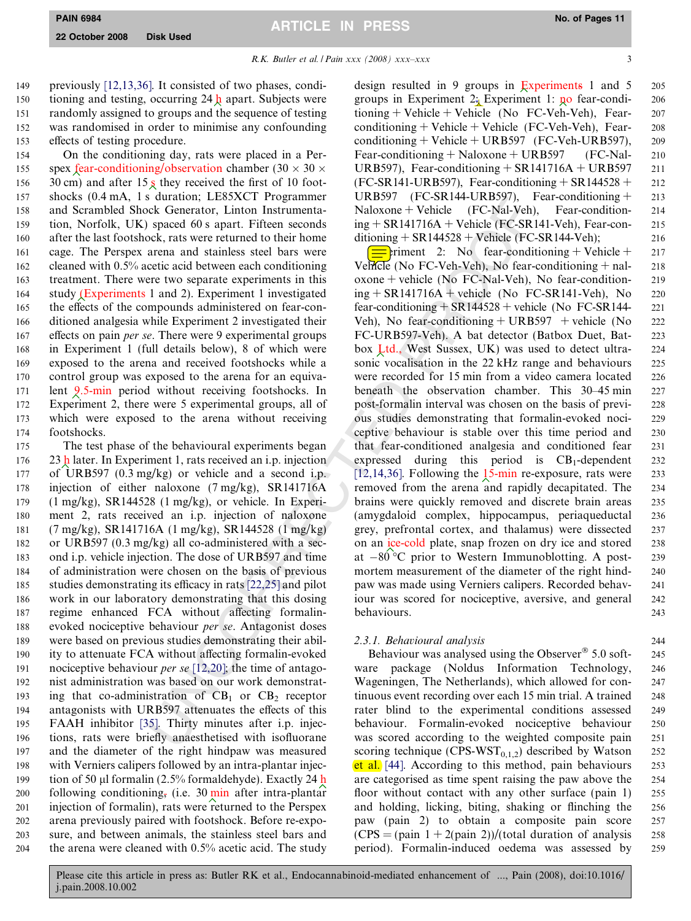3

R.K. Butler et al. / Pain xxx (2008) xxx–xxx

 previously [\[12,13,36\].](#page-10-0) It consisted of two phases, condi-150 tioning and testing, occurring 24  $\frac{1}{2}$  apart. Subjects were randomly assigned to groups and the sequence of testing was randomised in order to minimise any confounding effects of testing procedure.

 On the conditioning day, rats were placed in a Per-155 spex fear-conditioning/observation chamber  $(30 \times 30 \times$ 156 30 cm) and after  $15 \times$  they received the first of 10 foot- shocks (0.4 mA, 1 s duration; LE85XCT Programmer and Scrambled Shock Generator, Linton Instrumenta- tion, Norfolk, UK) spaced 60 s apart. Fifteen seconds after the last footshock, rats were returned to their home cage. The Perspex arena and stainless steel bars were cleaned with 0.5% acetic acid between each conditioning treatment. There were two separate experiments in this study (Experiments 1 and 2). Experiment 1 investigated the effects of the compounds administered on fear-con- ditioned analgesia while Experiment 2 investigated their 167 effects on pain *per se*. There were 9 experimental groups in Experiment 1 (full details below), 8 of which were exposed to the arena and received footshocks while a control group was exposed to the arena for an equiva- lent 9.5-min period without receiving footshocks. In Experiment 2, there were 5 experimental groups, all of which were exposed to the arena without receiving footshocks.

 The test phase of the behavioural experiments began 176 23 h later. In Experiment 1, rats received an i.p. injection of URB597 (0.3 mg/kg) or vehicle and a second i.p. injection of either naloxone (7 mg/kg), SR141716A (1 mg/kg), SR144528 (1 mg/kg), or vehicle. In Experi- ment 2, rats received an i.p. injection of naloxone (7 mg/kg), SR141716A (1 mg/kg), SR144528 (1 mg/kg) or URB597 (0.3 mg/kg) all co-administered with a sec- ond i.p. vehicle injection. The dose of URB597 and time of administration were chosen on the basis of previous studies demonstrating its efficacy in rats [22,25] and pilot work in our laboratory demonstrating that this dosing regime enhanced FCA without affecting formalin- evoked nociceptive behaviour per se. Antagonist doses were based on previous studies demonstrating their abil- ity to attenuate FCA without affecting formalin-evoked 191 nociceptive behaviour *per se*  $[12,20]$ ; the time of antago- nist administration was based on our work demonstrat-193 ing that co-administration of  $CB_1$  or  $CB_2$  receptor antagonists with URB597 attenuates the effects of this FAAH inhibitor [\[35\].](#page-10-0) Thirty minutes after i.p. injec- tions, rats were briefly anaesthetised with isofluorane and the diameter of the right hindpaw was measured with Verniers calipers followed by an intra-plantar injec-199 tion of 50 µl formalin  $(2.5\%$  formaldehyde). Exactly 24 h 200 following conditioning, (i.e.  $30 \text{ min}$  after intra-plantar injection of formalin), rats were returned to the Perspex arena previously paired with footshock. Before re-expo- sure, and between animals, the stainless steel bars and the arena were cleaned with 0.5% acetic acid. The study

design resulted in 9 groups in Experiments 1 and 5 205 groups in Experiment 2: Experiment 1:  $\mu$ o fear-condi- 206 tioning + Vehicle + Vehicle (No FC-Veh-Veh), Fear- 207 conditioning + Vehicle + Vehicle (FC-Veh-Veh), Fear- 208 conditioning + Vehicle + URB597 (FC-Veh-URB597),  $209$ Fear-conditioning + Naloxone + URB597 (FC-Nal- 210 URB597), Fear-conditioning  $+$  SR141716A  $+$  URB597 211  $(FC-SR141-URB597)$ , Fear-conditioning +  $SR144528 + 212$ URB597 (FC-SR144-URB597), Fear-conditioning  $+$  213  $Naloxone + Vehicle$  (FC-Nal-Veh), Fear-condition- 214  $ing + SR141716A + Vehicle (FC-SR141-Veh), Fear-con-215$ ditioning  $+$  SR144528  $+$  Vehicle (FC-SR144-Veh); 216

s unrator, 1. Fr. Sx. Frogrammer<br>
Subsety Cre-Sx. V+P-COR-SY-1 (PC-NaI-Yeh), Texnet CRC-SX-1 (PC-NaI-Yeh), a<br>speed 60 s apart. Fiften seconds ing + SR144716A + Vehicle (FC-SNaI-Yeh),<br>
speed 60 s apart. Fiften seconds ing  $\equiv$  eriment 2: No fear-conditioning + Vehicle + 217 Vehicle (No FC-Veh-Veh), No fear-conditioning  $+$  nal- 218 oxone + vehicle (No FC-Nal-Veh), No fear-condition- 219  $ing + SR141716A + vehicle (No FC-SR141-Veh), No$  220 fear-conditioning  $+$  SR144528 + vehicle (No FC-SR144- 221) Veh), No fear-conditioning  $+ \text{URB}597 + \text{ vehicle}$  (No 222 FC-URB597-Veh). A bat detector (Batbox Duet, Bat- 223 box Ltd., West Sussex, UK) was used to detect ultra- 224 sonic vocalisation in the 22 kHz range and behaviours 225 were recorded for 15 min from a video camera located 226 beneath the observation chamber. This 30–45 min 227 post-formalin interval was chosen on the basis of previ- 228 ous studies demonstrating that formalin-evoked noci- 229 ceptive behaviour is stable over this time period and 230 that fear-conditioned analgesia and conditioned fear 231 expressed during this period is  $CB_1$ -dependent 232  $[12, 14, 36]$ . Following the 15-min re-exposure, rats were 233 removed from the arena and rapidly decapitated. The 234 brains were quickly removed and discrete brain areas 235 (amygdaloid complex, hippocampus, periaqueductal 236 grey, prefrontal cortex, and thalamus) were dissected 237 on an ice-cold plate, snap frozen on dry ice and stored 238 at 80 C prior to Western Immunoblotting. A post- 239 mortem measurement of the diameter of the right hind-<br>240 paw was made using Verniers calipers. Recorded behav- 241 iour was scored for nociceptive, aversive, and general 242 behaviours. 243

# 2.3.1. Behavioural analysis 244

Behaviour was analysed using the Observer<sup>®</sup> 5.0 soft- $245$ ware package (Noldus Information Technology, 246 Wageningen, The Netherlands), which allowed for con- 247 tinuous event recording over each 15 min trial. A trained 248 rater blind to the experimental conditions assessed 249 behaviour. Formalin-evoked nociceptive behaviour 250 was scored according to the weighted composite pain 251 scoring technique (CPS-WST<sub>0,1,2</sub>) described by Watson 252 et al. [\[44\]](#page-11-0). According to this method, pain behaviours 253 are categorised as time spent raising the paw above the 254 floor without contact with any other surface (pain 1) 255 and holding, licking, biting, shaking or flinching the 256 paw (pain 2) to obtain a composite pain score 257  $(CPS = (pain 1 + 2(pain 2))/(total duration of analysis 258)$ period). Formalin-induced oedema was assessed by 259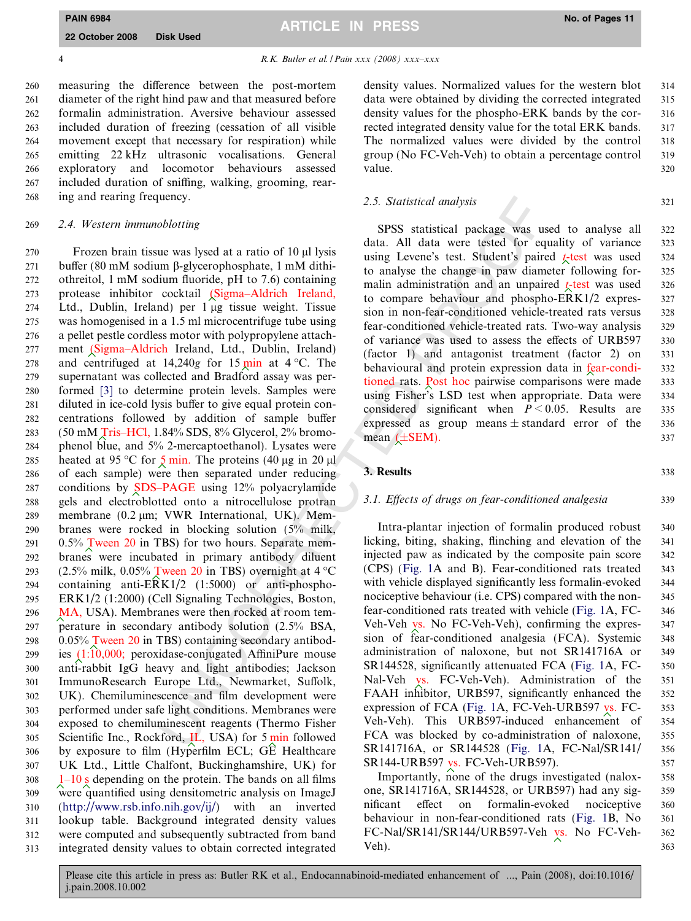4 R.K. Butler et al. / Pain xxx (2008) xxx–xxx

 measuring the difference between the post-mortem diameter of the right hind paw and that measured before formalin administration. Aversive behaviour assessed included duration of freezing (cessation of all visible movement except that necessary for respiration) while emitting 22 kHz ultrasonic vocalisations. General exploratory and locomotor behaviours assessed included duration of sniffing, walking, grooming, rear-ing and rearing frequency.

# 269 2.4. Western immunoblotting

2.5. Statistical analysis<br>
using Solution (10) at Usys STSS statistical package was used<br>
using Levence's test. Student's pair<br>
using Levence's test. Student's pair<br>
using Levence's test. Student's pair<br>
undultiple to ana 270 Frozen brain tissue was lysed at a ratio of 10 µl lysis buffer (80 mM sodium b-glycerophosphate, 1 mM dithi- othreitol, 1 mM sodium fluoride, pH to 7.6) containing protease inhibitor cocktail (Sigma–Aldrich Ireland, Ltd., Dublin, Ireland) per 1 lg tissue weight. Tissue was homogenised in a 1.5 ml microcentrifuge tube using a pellet pestle cordless motor with polypropylene attach- ment (Sigma–Aldrich Ireland, Ltd., Dublin, Ireland) 278 and centrifuged at  $14,240g$  for  $15 \text{ min}$  at  $4 \text{ }^{\circ}\text{C}$ . The supernatant was collected and Bradford assay was per- formed [\[3\]](#page-10-0) to determine protein levels. Samples were diluted in ice-cold lysis buffer to give equal protein con- centrations followed by addition of sample buffer (50 mM Tris–HCl, 1.84% SDS, 8% Glycerol, 2% bromo- phenol blue, and 5% 2-mercaptoethanol). Lysates were 285 heated at 95 °C for  $\frac{5}{2}$  min. The proteins (40 µg in 20 µl of each sample) were then separated under reducing conditions by SDS–PAGE using 12% polyacrylamide gels and electroblotted onto a nitrocellulose protran membrane (0.2 lm; VWR International, UK). Mem- branes were rocked in blocking solution (5% milk,  $0.5\%$  Tween 20 in TBS) for two hours. Separate mem- branes were incubated in primary antibody diluent 293 (2.5% milk, 0.05% Tween 20 in TBS) overnight at  $4^{\circ}$ C containing anti-ERK1/2 (1:5000) or anti-phospho- ERK1/2 (1:2000) (Cell Signaling Technologies, Boston, MA, USA). Membranes were then rocked at room tem- perature in secondary antibody solution (2.5% BSA, 0.05% Tween 20 in TBS) containing secondary antibod- ies (1:10,000; peroxidase-conjugated AffiniPure mouse anti-rabbit IgG heavy and light antibodies; Jackson ImmunoResearch Europe Ltd., Newmarket, Suffolk, UK). Chemiluminescence and film development were performed under safe light conditions. Membranes were exposed to chemiluminescent reagents (Thermo Fisher 305 Scientific Inc., Rockford, IL, USA) for 5 min followed by exposure to film (Hyperfilm ECL; GE Healthcare UK Ltd., Little Chalfont, Buckinghamshire, UK) for  $308 \frac{1-10 \text{ s}}{1}$  depending on the protein. The bands on all films were quantified using densitometric analysis on ImageJ 310 (<http://www.rsb.info.nih.gov/ij/>) with an inverted lookup table. Background integrated density values were computed and subsequently subtracted from band integrated density values to obtain corrected integrated

density values. Normalized values for the western blot 314 data were obtained by dividing the corrected integrated 315 density values for the phospho-ERK bands by the cor- 316 rected integrated density value for the total ERK bands. 317 The normalized values were divided by the control 318 group (No FC-Veh-Veh) to obtain a percentage control 319 value. 320

#### 2.5. Statistical analysis 321

SPSS statistical package was used to analyse all 322 data. All data were tested for equality of variance 323 using Levene's test. Student's paired  $t<sub>z</sub>$  test was used 324 to analyse the change in paw diameter following for- 325 malin administration and an unpaired  $t<sub>z</sub>$  test was used 326 to compare behaviour and phospho-ERK1/2 expres- 327 sion in non-fear-conditioned vehicle-treated rats versus 328 fear-conditioned vehicle-treated rats. Two-way analysis 329 of variance was used to assess the effects of URB597 330 (factor 1) and antagonist treatment (factor 2) on 331 behavioural and protein expression data in fear-condi-<br>332 tioned rats. Post hoc pairwise comparisons were made 333 using Fisher's LSD test when appropriate. Data were 334 considered significant when  $P \le 0.05$ . Results are 335 expressed as group means  $\pm$  standard error of the 336 mean  $(\pm$ SEM). 337

# **3. Results** 338

# 3.1. Effects of drugs on fear-conditioned analgesia 339

Intra-plantar injection of formalin produced robust 340 licking, biting, shaking, flinching and elevation of the 341 injected paw as indicated by the composite pain score 342 (CPS) ([Fig. 1A](#page-5-0) and B). Fear-conditioned rats treated 343 with vehicle displayed significantly less formal in-evoked 344 nociceptive behaviour (i.e. CPS) compared with the non- 345 fear-conditioned rats treated with vehicle ([Fig. 1](#page-5-0)A, FC- 346 Veh-Veh vs. No FC-Veh-Veh), confirming the expres-<br>347 sion of fear-conditioned analgesia (FCA). Systemic 348 administration of naloxone, but not SR141716A or 349 SR144528, significantly attenuated FCA ([Fig. 1](#page-5-0)A, FC- 350 Nal-Veh vs. FC-Veh-Veh). Administration of the 351 FAAH inhibitor, URB597, significantly enhanced the 352 expression of FCA [\(Fig. 1A](#page-5-0), FC-Veh-URB597 vs. FC- 353 Veh-Veh). This URB597-induced enhancement of 354 FCA was blocked by co-administration of naloxone, 355 SR141716A, or SR144528 [\(Fig. 1](#page-5-0)A, FC-Nal/SR141/ 356 SR144-URB597 vs. FC-Veh-URB597). 357

Importantly, none of the drugs investigated (nalox- 358 one, SR141716A, SR144528, or URB597) had any sig- 359 nificant effect on formalin-evoked nociceptive 360 behaviour in non-fear-conditioned rats ([Fig. 1](#page-5-0)B, No 361 FC-Nal/SR141/SR144/URB597-Veh vs. No FC-Veh- 362  $Veh$ ).  $363$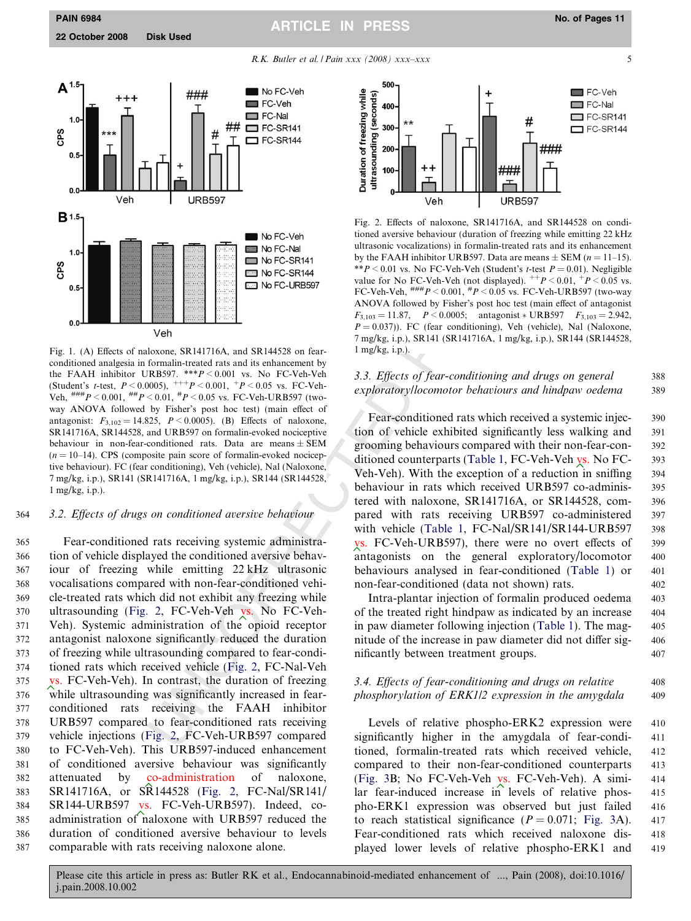<span id="page-5-0"></span>PAIN 6984 No. of Pages 11 ARTICLE IN PRESS

R.K. Butler et al. / Pain xxx (2008) xxx–xxx





Fig. 1. (A) Effects of naloxone, SR141716A, and SR144528 on fearconditioned analgesia in formalin-treated rats and its enhancement by the FAAH inhibitor URB597.  $**P < 0.001$  vs. No FC-Veh-Veh (Student's *t*-test,  $P < 0.0005$ ),  $^{+++}P < 0.001$ ,  $^{+}P < 0.05$  vs. FC-Veh-Veh,  $^{#HH}P < 0.001$ ,  $^{#H}P < 0.01$ ,  $^{#}P < 0.05$  vs. FC-Veh-URB597 (twoway ANOVA followed by Fisher's post hoc test) (main effect of antagonist:  $F_{3,102} = 14.825$ ,  $P \le 0.0005$ ). (B) Effects of naloxone, SR141716A, SR144528, and URB597 on formalin-evoked nociceptive behaviour in non-fear-conditioned rats. Data are means  $\pm$  SEM  $(n = 10-14)$ . CPS (composite pain score of formal n-evoked nociceptive behaviour). FC (fear conditioning), Veh (vehicle), Nal (Naloxone, 7 mg/kg, i.p.), SR141 (SR141716A, 1 mg/kg, i.p.), SR144 (SR144528, 1 mg/kg, i.p.).

# 364 3.2. Effects of drugs on conditioned aversive behaviour

VBRS97<br>
URBS97<br>
URBS97<br>
URBS97<br>
URBS97<br>
URBS97<br>
URBS97<br>
URBS97<br>
URBS97<br>
URBS97<br>
URBS97<br>
URBS97<br>
URBS97<br>
URBS97<br>
URBS97<br>
URBS97<br>
URBS97<br>
URBS97<br>
URBS97<br>
URBS97<br>
URBS97<br>
URBS97<br>
COM-MOM (olleaded by Fisher's peach to a diag Fear-conditioned rats receiving systemic administra- tion of vehicle displayed the conditioned aversive behav- iour of freezing while emitting 22 kHz ultrasonic vocalisations compared with non-fear-conditioned vehi- cle-treated rats which did not exhibit any freezing while 370 ultrasounding (Fig. 2, FC-Veh-Veh vs. No FC-Veh- Veh). Systemic administration of the opioid receptor antagonist naloxone significantly reduced the duration of freezing while ultrasounding compared to fear-condi- tioned rats which received vehicle (Fig. 2, FC-Nal-Veh vs. FC-Veh-Veh). In contrast, the duration of freezing while ultrasounding was significantly increased in fear- conditioned rats receiving the FAAH inhibitor URB597 compared to fear-conditioned rats receiving vehicle injections (Fig. 2, FC-Veh-URB597 compared to FC-Veh-Veh). This URB597-induced enhancement of conditioned aversive behaviour was significantly attenuated by co-administration of naloxone, SR141716A, or SR144528 (Fig. 2, FC-Nal/SR141/ SR144-URB597 vs. FC-Veh-URB597). Indeed, co- administration of naloxone with URB597 reduced the duration of conditioned aversive behaviour to levels comparable with rats receiving naloxone alone.



Fig. 2. Effects of naloxone, SR141716A, and SR144528 on conditioned aversive behaviour (duration of freezing while emitting 22 kHz ultrasonic vocalizations) in formalin-treated rats and its enhancement by the FAAH inhibitor URB597. Data are means  $\pm$  SEM ( $n = 11-15$ ). \*\* $P \le 0.01$  vs. No FC-Veh-Veh (Student's *t*-test  $P = 0.01$ ). Negligible value for No FC-Veh-Veh (not displayed).  $^{++}P < 0.01$ ,  $^{+}P < 0.05$  vs. FC-Veh-Veh,  $^{#H#}P < 0.001$ ,  $^{#}P < 0.05$  vs. FC-Veh-URB597 (two-way ANOVA followed by Fisher's post hoc test (main effect of antagonist  $F_{3,103} = 11.87$ ,  $P < 0.0005$ ; antagonist \* URB597  $F_{3,103} = 2.942$ ,  $P = 0.037$ ). FC (fear conditioning), Veh (vehicle), Nal (Naloxone, 7 mg/kg, i.p.), SR141 (SR141716A, 1 mg/kg, i.p.), SR144 (SR144528, 1 mg/kg, i.p.).

# 3.3. Effects of fear-conditioning and drugs on general 388 exploratory/locomotor behaviours and hindpaw oedema 389

Fear-conditioned rats which received a systemic injec-<br>390 tion of vehicle exhibited significantly less walking and 391 grooming behaviours compared with their non-fear-con- 392 ditioned counterparts [\(Table 1,](#page-6-0) FC-Veh-Veh vs. No FC- 393 Veh-Veh). With the exception of a reduction in sniffing 394 behaviour in rats which received URB597 co-adminis- 395 tered with naloxone, SR141716A, or SR144528, com- 396 pared with rats receiving URB597 co-administered 397 with vehicle ([Table 1,](#page-6-0) FC-Nal/SR141/SR144-URB597 398 vs. FC-Veh-URB597), there were no overt effects of 399 antagonists on the general exploratory/locomotor 400 behaviours analysed in fear-conditioned [\(Table 1\)](#page-6-0) or 401 non-fear-conditioned (data not shown) rats. 402

Intra-plantar injection of formalin produced oedema 403 of the treated right hindpaw as indicated by an increase 404 in paw diameter following injection ([Table 1\)](#page-6-0). The mag- 405 nitude of the increase in paw diameter did not differ sig- 406 nificantly between treatment groups. 407

# 3.4. Effects of fear-conditioning and drugs on relative 408 phosphorylation of ERK1/2 expression in the amygdala 409

Levels of relative phospho-ERK2 expression were 410 significantly higher in the amygdala of fear-condi- 411 tioned, formalin-treated rats which received vehicle, 412 compared to their non-fear-conditioned counterparts 413 ([Fig. 3B](#page-7-0); No FC-Veh-Veh vs. FC-Veh-Veh). A simi- 414 lar fear-induced increase in levels of relative phos- 415 pho-ERK1 expression was observed but just failed 416 to reach statistical significance  $(P = 0.071;$  [Fig. 3A](#page-7-0)). 417 Fear-conditioned rats which received naloxone dis- 418 played lower levels of relative phospho-ERK1 and 419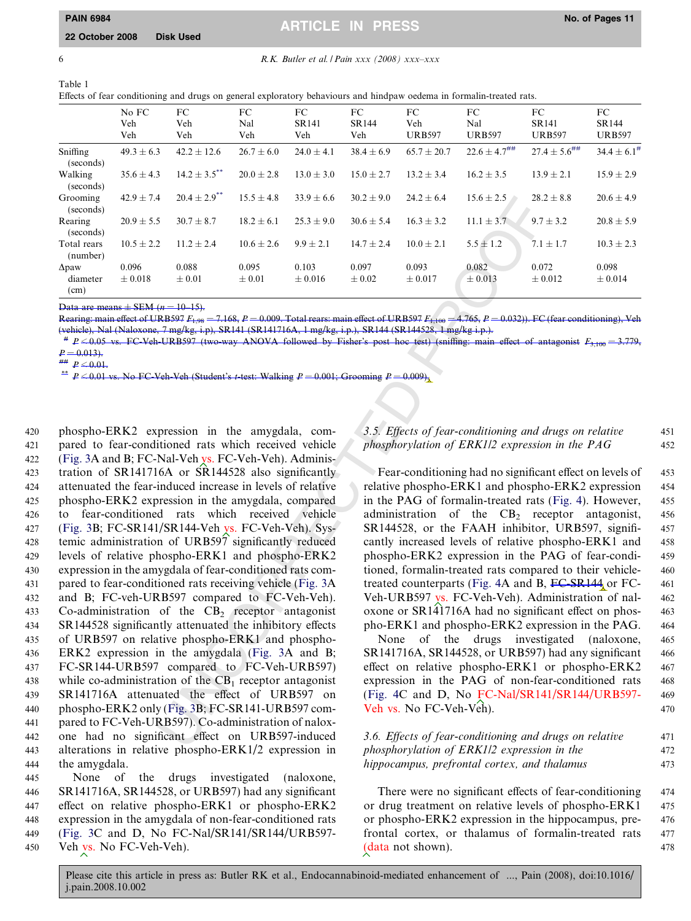# <span id="page-6-0"></span>PAIN 6984 No. of Pages 11 ARTICLE IN PRESS

6 R.K. Butler et al. *I Pain xxx* (2008)  $xxx$ – $xxx$ 

| Table 1                                                                                                                |
|------------------------------------------------------------------------------------------------------------------------|
| Effects of fear conditioning and drugs on general exploratory behaviours and hindpaw oedema in formal in-treated rats. |

|                                  | No FC                | FC                           | FC                  | FC.                  | FC                  | FC                   | FC                           | FC                            | FC                     |
|----------------------------------|----------------------|------------------------------|---------------------|----------------------|---------------------|----------------------|------------------------------|-------------------------------|------------------------|
|                                  | Veh<br>Veh           | Veh<br>Veh                   | Nal<br>Veh          | SR141<br>Veh         | SR144<br>Veh        | Veh<br><b>URB597</b> | Nal<br><b>URB597</b>         | <b>SR141</b><br><b>URB597</b> | SR144<br><b>URB597</b> |
| Sniffing<br>(seconds)            | $49.3 \pm 6.3$       | $42.2 \pm 12.6$              | $26.7 \pm 6.0$      | $24.0 \pm 4.1$       | $38.4 \pm 6.9$      | $65.7 \pm 20.7$      | $22.6 \pm 4.7$ <sup>##</sup> | $27.4 \pm 5.6$ <sup>##</sup>  | $34.4 \pm 6.1^{\#}$    |
| Walking<br>(seconds)             | $35.6 \pm 4.3$       | $14.2 + 3.5$ **              | $20.0 \pm 2.8$      | $13.0 + 3.0$         | $15.0 + 2.7$        | $13.2 + 3.4$         | $16.2 \pm 3.5$               | $13.9 + 2.1$                  | $15.9 \pm 2.9$         |
| Grooming<br>(seconds)            | $42.9 \pm 7.4$       | $20.4 \pm 2.9$ <sup>**</sup> | $15.5 \pm 4.8$      | $33.9 \pm 6.6$       | $30.2 \pm 9.0$      | $24.2 \pm 6.4$       | $15.6 \pm 2.5$               | $28.2 \pm 8.8$                | $20.6 \pm 4.9$         |
| Rearing<br>(seconds)             | $20.9 \pm 5.5$       | $30.7 \pm 8.7$               | $18.2 \pm 6.1$      | $25.3 \pm 9.0$       | $30.6 \pm 5.4$      | $16.3 \pm 3.2$       | $11.1 \pm 3.7$               | $9.7 \pm 3.2$                 | $20.8 \pm 5.9$         |
| Total rears<br>(number)          | $10.5 \pm 2.2$       | $11.2 + 2.4$                 | $10.6 \pm 2.6$      | $9.9 \pm 2.1$        | $14.7 \pm 2.4$      | $10.0 + 2.1$         | $5.5 \pm 1.2$                | $7.1 \pm 1.7$                 | $10.3 \pm 2.3$         |
| $\Delta$ paw<br>diameter<br>(cm) | 0.096<br>$\pm 0.018$ | 0.088<br>$\pm 0.01$          | 0.095<br>$\pm 0.01$ | 0.103<br>$\pm 0.016$ | 0.097<br>$\pm 0.02$ | 0.093<br>$\pm 0.017$ | 0.082<br>$\pm 0.013$         | 0.072<br>$\pm 0.012$          | 0.098<br>$\pm 0.014$   |

Data are means  $\pm$  SEM ( $n = 10-15$ ).

Rearing: main effect of URB597  $F_{1,98}$  = 7.168, P = 0.009. Total rears: main effect of URB597  $F_{1,100}$  = 4.765, P = 0.032)). FC (fear conditioning), Veh (vehicle), Nal (Naloxone, 7 mg/kg, i.p), SR141 (SR141716A, 1 mg/kg, i.p.), SR144 (SR144528, 1 mg/kg i.p.).

 $*$  P  $\leq$  0.05 vs. FC-Veh-URB597 (two-way ANOVA followed by Fisher's post hoc test) (sniffing: main effect of antagonist  $F_{3,100} = 3.779$  $P = 0.013$ .

##  $P \le 0.01$ .<br>\*\*  $P \le 0.01$  vs. No FC-Veh-Veh (Student's t-test: Walking  $P = 0.001$ ; Grooming  $P = 0.009$ ).

 $20.4 + 29$   $18.3 + 4.8$   $33.9 + 6.6$   $30.2 + 9.9$   $24.2 + 6.4$   $16.3 + 2.3$   $22.11 + 1.3.7$   $9.7$ <br>  $10.4 + 2.4$   $10.6 + 2.6$   $9.9 + 2.1$   $14.7 + 2.4$   $10.0 + 2.1$   $15.4 + 1.4$   $10.0 + 2.1$   $10.0 + 2.1$   $10.0 + 2.1$   $10.0 + 2.1$   $10.0 +$  phospho-ERK2 expression in the amygdala, com- pared to fear-conditioned rats which received vehicle 422 ([Fig. 3](#page-7-0)A and B; FC-Nal-Veh vs. FC-Veh-Veh). Adminis- tration of SR141716A or SR144528 also significantly attenuated the fear-induced increase in levels of relative phospho-ERK2 expression in the amygdala, compared to fear-conditioned rats which received vehicle 427 ([Fig. 3](#page-7-0)B; FC-SR141/SR144-Veh vs. FC-Veh-Veh). Sys- temic administration of URB597 significantly reduced levels of relative phospho-ERK1 and phospho-ERK2 expression in the amygdala of fear-conditioned rats com- pared to fear-conditioned rats receiving vehicle (Fig. 3A and B; FC-veh-URB597 compared to FC-Veh-Veh). 433 Co-administration of the  $CB<sub>2</sub>$  receptor antagonist SR144528 significantly attenuated the inhibitory effects of URB597 on relative phospho-ERK1 and phospho- ERK2 expression in the amygdala (Fig. 3A and B; FC-SR144-URB597 compared to FC-Veh-URB597) 438 while co-administration of the  $CB<sub>1</sub>$  receptor antagonist SR141716A attenuated the effect of URB597 on phospho-ERK2 only (Fig. 3B; FC-SR141-URB597 com- pared to FC-Veh-URB597). Co-administration of nalox- one had no significant effect on URB597-induced alterations in relative phospho-ERK1/2 expression in the amygdala.

 None of the drugs investigated (naloxone, SR141716A, SR144528, or URB597) had any significant effect on relative phospho-ERK1 or phospho-ERK2 expression in the amygdala of non-fear-conditioned rats 449 ([Fig. 3C](#page-7-0) and D, No FC-Nal/SR141/SR144/URB597- Veh vs. No FC-Veh-Veh).

# 3.5. Effects of fear-conditioning and drugs on relative 451 phosphorylation of ERK1/2 expression in the PAG 452

Fear-conditioning had no significant effect on levels of 453 relative phospho-ERK1 and phospho-ERK2 expression 454 in the PAG of formalin-treated rats [\(Fig. 4\)](#page-8-0). However, 455 administration of the CB <sup>2</sup> receptor antagonist, 456 SR144528, or the FAAH inhibitor, URB597, signifi- 457 cantly increased levels of relative phospho-ERK1 and 458 phospho-ERK2 expression in the PAG of fear-condi- 459 tioned, formalin-treated rats compared to their vehicle- 460 treated counterparts ([Fig. 4](#page-8-0)A and B, FC-SR144 or FC- 461) Veh-URB597 vs. FC-Veh-Veh). Administration of nal- 462 oxone or SR141716A had no significant effect on phos- 463 pho-ERK1 and phospho-ERK2 expression in the PAG. 464

None of the drugs investigated (naloxone, 465 SR141716A, SR144528, or URB597) had any significant 466 effect on relative phospho-ERK1 or phospho-ERK2 467 expression in the PAG of non-fear-conditioned rats 468 (Fig. 4C and D, No FC-Nal/SR141/SR144/URB597- 469 Veh vs. No FC-Veh-Veh). 470

# 3.6. Effects of fear-conditioning and drugs on relative 471 phosphorylation of ERK1/2 expression in the 472 hippocampus, prefrontal cortex, and thalamus 473

There were no significant effects of fear-conditioning 474 or drug treatment on relative levels of phospho-ERK1 475 or phospho-ERK2 expression in the hippocampus, pre- 476 frontal cortex, or thalamus of formalin-treated rats 477 (data not shown). 478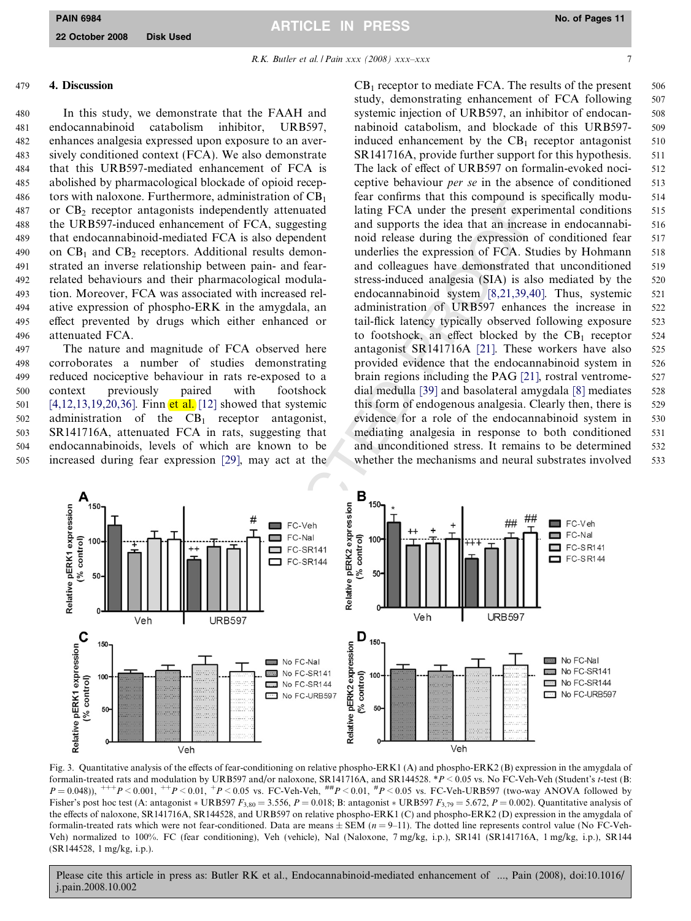R.K. Butler et al. / Pain xxx (2008) xxx–xxx

7

# <span id="page-7-0"></span>479 4. Discussion

 In this study, we demonstrate that the FAAH and endocannabinoid catabolism inhibitor, URB597, enhances analgesia expressed upon exposure to an aver- sively conditioned context (FCA). We also demonstrate that this URB597-mediated enhancement of FCA is abolished by pharmacological blockade of opioid recep-486 tors with naloxone. Furthermore, administration of  $CB<sub>1</sub>$ 487 or  $CB_2$  receptor antagonists independently attenuated the URB597-induced enhancement of FCA, suggesting that endocannabinoid-mediated FCA is also dependent 490 on  $CB_1$  and  $CB_2$  receptors. Additional results demon- strated an inverse relationship between pain- and fear- related behaviours and their pharmacological modula- tion. Moreover, FCA was associated with increased rel- ative expression of phospho-ERK in the amygdala, an effect prevented by drugs which either enhanced or attenuated FCA.

 The nature and magnitude of FCA observed here corroborates a number of studies demonstrating reduced nociceptive behaviour in rats re-exposed to a context previously paired with footshock [\[4,12,13,19,20,36\]](#page-10-0). Finn et al. [12] showed that systemic 502 administration of the  $CB_1$  receptor antagonist, SR141716A, attenuated FCA in rats, suggesting that endocannabinoids, levels of which are known to be increased during fear expression [29], may act at the

 $CB<sub>1</sub>$  receptor to mediate FCA. The results of the present  $506$ study, demonstrating enhancement of FCA following 507 systemic injection of URB597, an inhibitor of endocan- 508 nabinoid catabolism, and blockade of this URB597- 509 induced enhancement by the  $CB_1$  receptor antagonist 510 SR141716A, provide further support for this hypothesis. 511 The lack of effect of URB597 on formalin-evoked noci-<br>512 ceptive behaviour *per se* in the absence of conditioned 513 fear confirms that this compound is specifically modu- 514 lating FCA under the present experimental conditions 515 and supports the idea that an increase in endocannabi- 516 noid release during the expression of conditioned fear 517 underlies the expression of FCA. Studies by Hohmann 518 and colleagues have demonstrated that unconditioned 519 stress-induced analgesia (SIA) is also mediated by the 520 endocannabinoid system [\[8,21,39,40\]](#page-10-0). Thus, systemic 521 administration of URB597 enhances the increase in 522 tail-flick latency typically observed following exposure 523 to footshock, an effect blocked by the  $CB_1$  receptor 524 antagonist SR141716A [21]. These workers have also 525 provided evidence that the endocannabinoid system in 526 brain regions including the PAG [\[21\]](#page-10-0), rostral ventrome- 527 dial medulla [\[39\]](#page-10-0) and basolateral amygdala [\[8\]](#page-10-0) mediates 528 this form of endogenous analgesia. Clearly then, there is 529 evidence for a role of the endocannabinoid system in 530 mediating analgesia in response to both conditioned 531 and unconditioned stress. It remains to be determined 532 whether the mechanisms and neural substrates involved 533



Fig. 3. Quantitative analysis of the effects of fear-conditioning on relative phospho-ERK1 (A) and phospho-ERK2 (B) expression in the amygdala of formalin-treated rats and modulation by URB597 and/or naloxone, SR141716A, and SR144528. \*P < 0.05 vs. No FC-Veh-Veh (Student's t-test (B:  $P = 0.048$ )),  $^{++}P < 0.001$ ,  $^{++}P < 0.01$ ,  $^{+}P < 0.05$  vs. FC-Veh-Veh,  $^{ttH}P < 0.01$ ,  $^{tt}P < 0.05$  vs. FC-Veh-URB597 (two-way ANOVA followed by Fisher's post hoc test (A: antagonist \* URB597  $F_{3,80} = 3.556$ ,  $P = 0.018$ ; B: antagonist \* URB597  $F_{3,79} = 5.672$ ,  $P = 0.002$ ). Quantitative analysis of the effects of naloxone, SR141716A, SR144528, and URB597 on relative phospho-ERK1 (C) and phospho-ERK2 (D) expression in the amygdala of formalin-treated rats which were not fear-conditioned. Data are means  $\pm$  SEM ( $n = 9-11$ ). The dotted line represents control value (No FC-Veh-Veh) normalized to 100%. FC (fear conditioning), Veh (vehicle), Nal (Naloxone, 7 mg/kg, i.p.), SR141 (SR141716A, 1 mg/kg, i.p.), SR144 (SR144528, 1 mg/kg, i.p.).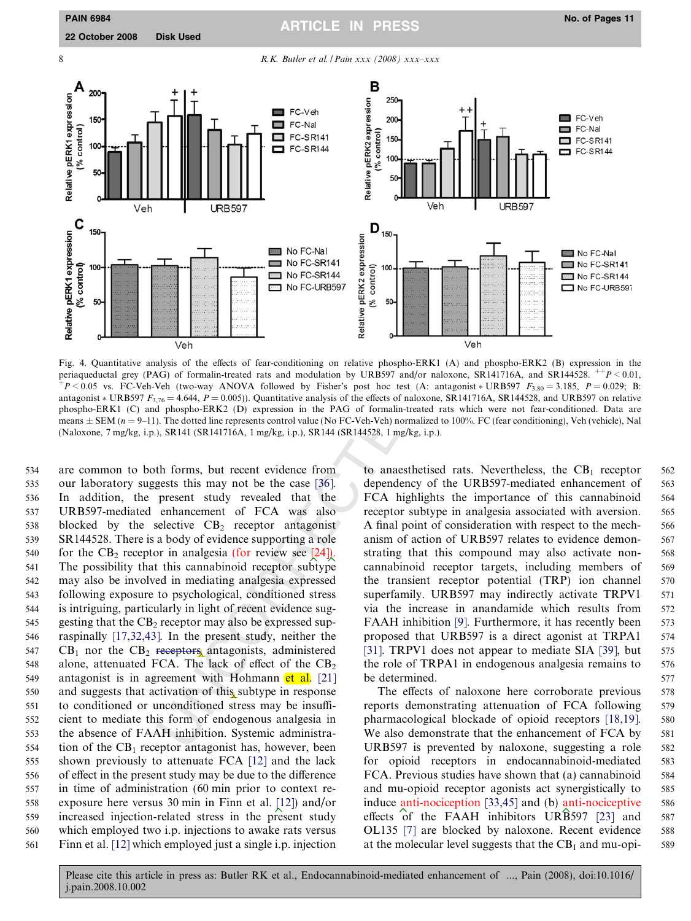<span id="page-8-0"></span>

Fig. 4. Quantitative analysis of the effects of fear-conditioning on relative phospho-ERK1 (A) and phospho-ERK2 (B) expression in the periaqueductal grey (PAG) of formalin-treated rats and modulation by URB597 and/or naloxone, SR141716A, and SR144528.  $^{++}P < 0.01$ ,  $+P < 0.05$  vs. FC-Veh-Veh (two-way ANOVA followed by Fisher's post hoc test (A: antagonist \* URB597  $F_{3,80} = 3.185$ ,  $P = 0.029$ ; B: antagonist \* URB597  $F_{3,76} = 4.644$ ,  $P = 0.005$ ). Quantitative analysis of the effects of naloxone, SR141716A, SR144528, and URB597 on relative phospho-ERK1 (C) and phospho-ERK2 (D) expression in the PAG of formalin-treated rats which were not fear-conditioned. Data are means  $\pm$  SEM ( $n = 9-11$ ). The dotted line represents control value (No FC-Veh-Veh) normalized to 100%. FC (fear conditioning), Veh (vehicle), Nal

 are common to both forms, but recent evidence from our laboratory suggests this may not be the case [36] . In addition, the present study revealed that the URB597-mediated enhancement of FCA was also blocked by the selective CB <sup>2</sup> receptor antagonist SR144528. There is a body of evidence supporting a role 540 for the  $CB_2$  receptor in analgesia (for review see [24]). The possibility that this cannabinoid receptor subtype may also be involved in mediating analgesia expressed following exposure to psychological, conditioned stress is intriguing, particularly in light of recent evidence sug-545 gesting that the  $CB_2$  receptor may also be expressed sup- raspinally [\[17,32,43\].](#page-10-0) In the present study, neither the CB<sub>1</sub> nor the CB<sub>2</sub> receptors antagonists, administered alone, attenuated FCA. The lack of effect of the CB 2 549 antagonist is in agreement with Hohmann et al. [21] and suggests that activation of this subtype in response to conditioned or unconditioned stress may be insuffi- cient to mediate this form of endogenous analgesia in the absence of FAAH inhibition. Systemic administra- tion of the CB<sub>1</sub> receptor antagonist has, however, been shown previously to attenuate FCA [\[12\]](#page-10-0) and the lack of effect in the present study may be due to the difference in time of administration (60 min prior to context re- exposure here versus 30 min in Finn et al. [\[12\]\)](#page-10-0) and/or increased injection-related stress in the present study which employed two i.p. injections to awake rats versus Finn et al. [\[12\]](#page-10-0) which employed just a single i.p. injection

to anaesthetised rats. Nevertheless, the  $CB<sub>1</sub>$  receptor 562 dependency of the URB597-mediated enhancement of 563 FCA highlights the importance of this cannabinoid 564 receptor subtype in analgesia associated with aversion. 565 A final point of consideration with respect to the mech- 566 anism of action of URB597 relates to evidence demon- 567 strating that this compound may also activate non- 568 cannabinoid receptor targets, including members of 569 the transient receptor potential (TRP) ion channel 570 superfamily. URB597 may indirectly activate TRPV1 571 via the increase in anandamide which results from 572 FAAH inhibition [\[9\].](#page-10-0) Furthermore, it has recently been 573 proposed that URB597 is a direct agonist at TRPA1 574 [31]. TRPV1 does not appear to mediate SIA [\[39\],](#page-10-0) but 575 the role of TRPA1 in endogenous analgesia remains to 576 be determined. 577

The effects of naloxone here corroborate previous 578 reports demonstrating attenuation of FCA following 579 pharmacological blockade of opioid receptors [\[18,19\]](#page-10-0) . 580 We also demonstrate that the enhancement of FCA by 581 URB597 is prevented by naloxone, suggesting a role 582 for opioid receptors in endocannabinoid-mediated 583 FCA. Previous studies have shown that (a) cannabinoid 584 and mu-opioid receptor agonists act synergistically to 585 induce anti-nociception [\[33,45\]](#page-10-0) and (b) anti-nociceptive 586 effects of the FAAH inhibitors URB597  $[23]$  and 587 OL135 [\[7\]](#page-10-0) are blocked by naloxone. Recent evidence 588 at the molecular level suggests that the  $CB<sub>1</sub>$  and mu-opi- 589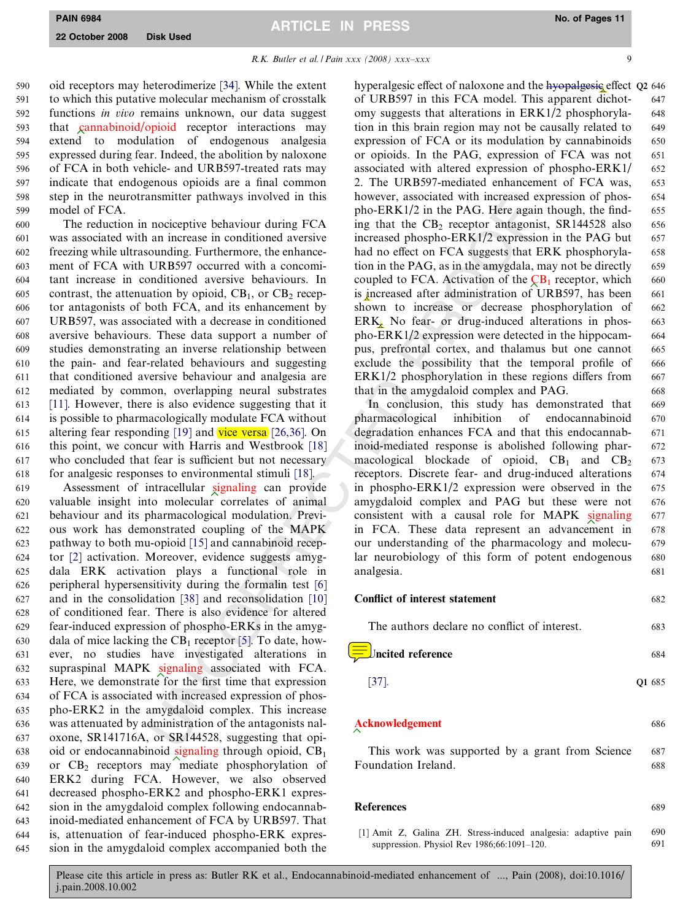#### R.K. Butler et al. / Pain xxx (2008) xxx–xxx

<span id="page-9-0"></span> oid receptors may heterodimerize [\[34\].](#page-10-0) While the extent to which this putative molecular mechanism of crosstalk functions in vivo remains unknown, our data suggest that cannabinoid/opioid receptor interactions may extend to modulation of endogenous analgesia expressed during fear. Indeed, the abolition by naloxone of FCA in both vehicle- and URB597-treated rats may indicate that endogenous opioids are a final common step in the neurotransmitter pathways involved in this model of FCA.

 The reduction in nociceptive behaviour during FCA was associated with an increase in conditioned aversive freezing while ultrasounding. Furthermore, the enhance- ment of FCA with URB597 occurred with a concomi- tant increase in conditioned aversive behaviours. In 605 contrast, the attenuation by opioid,  $CB_1$ , or  $CB_2$  recep- tor antagonists of both FCA, and its enhancement by URB597, was associated with a decrease in conditioned aversive behaviours. These data support a number of studies demonstrating an inverse relationship between the pain- and fear-related behaviours and suggesting that conditioned aversive behaviour and analgesia are mediated by common, overlapping neural substrates [\[11\].](#page-10-0) However, there is also evidence suggesting that it is possible to pharmacologically modulate FCA without 615 altering fear responding [19] and  $\overline{vice versa}$  [26,36]. On this point, we concur with Harris and Westbrook [18] who concluded that fear is sufficient but not necessary for analgesic responses to environmental stimuli [18] .

and the particular particular PROSE and the CR is observed, associated with methods in increase in nonditioned averation in the CB, receptor antigomorologing. Furthermore, the enhanced are the method of the CR increase in Assessment of intracellular signaling can provide valuable insight into molecular correlates of animal behaviour and its pharmacological modulation. Previ- ous work has demonstrated coupling of the MAPK pathway to both mu-opioid [15] and cannabinoid recep- tor [\[2\]](#page-10-0) activation. Moreover, evidence suggests amyg- dala ERK activation plays a functional role in peripheral hypersensitivity during the formalin test [6] and in the consolidation [38] and reconsolidation [10] of conditioned fear. There is also evidence for altered fear-induced expression of phospho-ERKs in the amyg-630 dala of mice lacking the  $CB_1$  receptor [5]. To date, how- ever, no studies have investigated alterations in 632 supraspinal MAPK signaling associated with FCA. Here, we demonstrate for the first time that expression of FCA is associated with increased expression of phos- pho-ERK2 in the amygdaloid complex. This increase was attenuated by administration of the antagonists nal- oxone, SR141716A, or SR144528, suggesting that opi-638 oid or endocannabinoid signaling through opioid,  $CB<sub>1</sub>$  or CB <sup>2</sup> receptors may mediate phosphorylation of ERK2 during FCA. However, we also observed decreased phospho-ERK2 and phospho-ERK1 expres- sion in the amygdaloid complex following endocannab- inoid-mediated enhancement of FCA by URB597. That is, attenuation of fear-induced phospho-ERK expres-sion in the amygdaloid complex accompanied both the

hyperalgesic effect of naloxone and the hyopalgesic effect Q2 646 of URB597 in this FCA model. This apparent dichot- 647 omy suggests that alterations in ERK1/2 phosphoryla- 648 tion in this brain region may not be causally related to 649 expression of FCA or its modulation by cannabinoids 650 or opioids. In the PAG, expression of FCA was not 651 associated with altered expression of phospho-ERK1/ 652 2. The URB597-mediated enhancement of FCA was, 653 however, associated with increased expression of phos- 654 pho-ERK1/2 in the PAG. Here again though, the find- 655 ing that the  $CB_2$  receptor antagonist, SR144528 also 656 increased phospho-ERK1/2 expression in the PAG but 657 had no effect on FCA suggests that ERK phosphoryla- 658 tion in the PAG, as in the amygdala, may not be directly 659 coupled to FCA. Activation of the  $\overline{CB_1}$  receptor, which 660 is increased after administration of URB597, has been 661 shown to increase or decrease phosphorylation of 662 ERK. No fear- or drug-induced alterations in phos- 663 pho-ERK1/2 expression were detected in the hippocam- 664 pus, prefrontal cortex, and thalamus but one cannot 665 exclude the possibility that the temporal profile of 666 ERK1/2 phosphorylation in these regions differs from  $667$ that in the amygdaloid complex and PAG. 668

In conclusion, this study has demonstrated that 669 pharmacological inhibition of endocannabinoid 670 degradation enhances FCA and that this endocannab- 671 inoid-mediated response is abolished following phar- 672 macological blockade of opioid, CB <sup>1</sup> and CB 673 receptors. Discrete fear- and drug-induced alterations 674 in phospho-ERK1/2 expression were observed in the  $675$ amygdaloid complex and PAG but these were not 676 consistent with a causal role for MAPK signaling 677 in FCA. These data represent an advancement in 678 our understanding of the pharmacology and molecu- 679 lar neurobiology of this form of potent endogenous 680 analgesia. 681

| <b>Conflict of interest statement</b> |  |
|---------------------------------------|--|
|                                       |  |

| The authors declare no conflict of interest. | 683    |
|----------------------------------------------|--------|
| $\equiv$ Uncited reference                   | 684    |
| [37].                                        | Q1 685 |

#### Acknowledgement 686

This work was supported by a grant from Science 687 Foundation Ireland. 688

#### References 689

[1] Amit Z, Galina ZH. Stress-induced analgesia: adaptive pain 690 suppression. Physiol Rev 1986;66:1091-120. 691

Please cite this article in press as: Butler RK et al., Endocannabinoid-mediated enhancement of ..., Pain (2008), doi:10.1016/ j.pain.2008.10.002

9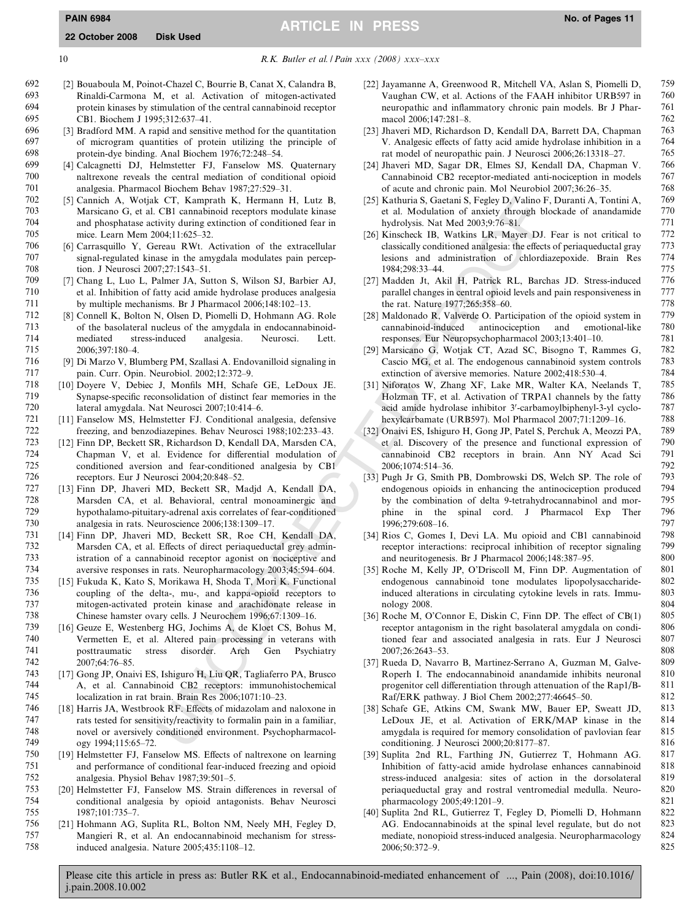# 10  $R.K.$  Butler et al. *| Pain xxx* (2008)  $xxxx = xx$

- 692 [2] Bouaboula M, Poinot-Chazel C, Bourrie B, Canat X, Calandra B, 693 Rinaldi-Carmona M, et al. Activation of mitogen-activated 694 protein kinases by stimulation of the central cannabinoid receptor 695 CB1. Biochem J 1995;312:637–41.<br>696 531 Bradford MM. A rapid and sensit
- $696$  [3] Bradford MM. A rapid and sensitive method for the quantitation  $697$  of microgram quantities of protein utilizing the principle of of microgram quantities of protein utilizing the principle of 698 protein-dye binding. Anal Biochem 1976;72:248–54.
- 699 [4] Calcagnetti DJ, Helmstetter FJ, Fanselow MS. Quaternary 700 naltrexone reveals the central mediation of conditional opioid<br>701 nalessia Pharmacol Biochem Behav 1987:27:529–31 analgesia. Pharmacol Biochem Behav 1987;27:529-31.
- 702 [5] Cannich A, Wotjak CT, Kamprath K, Hermann H, Lutz B, 703 Marsicano G, et al. CB1 cannabinoid receptors modulate kinase 704 and phosphatase activity during extinction of conditioned fear in<br>705 mice Learn Mem 2004:11:625-32 705 mice. Learn Mem 2004;11:625–32.<br>706 [6] Carrasquillo Y. Gereau RWt. A
- [6] Carrasquillo Y, Gereau RWt. Activation of the extracellular 707 signal-regulated kinase in the amygdala modulates pain percep-708 tion. J Neurosci 2007;27:1543–51.<br>709 171 Chang L. Luo L. Palmer JA Sui
- 709 [7] Chang L, Luo L, Palmer JA, Sutton S, Wilson SJ, Barbier AJ, et al. Inhibition of fatty acid amide hydrolase produces analgesia 711 by multiple mechanisms. Br J Pharmacol 2006;148:102–13.
- 712 [8] Connell K, Bolton N, Olsen D, Piomelli D, Hohmann AG. Role 713 of the basolateral nucleus of the amygdala in endocannabinoid-<br>714 onediated stress-induced analysis. Neurosci. Lett. mediated stress-induced analgesia. Neurosci. Lett. 715 2006;397:180–4.
- 716 [9] Di Marzo V, Blumberg PM, Szallasi A. Endovanilloid signaling in 717 pain. Curr. Opin. Neurobiol. 2002;12:372–9.<br>718 [10] Dovere V, Debiec J, Monfils MH, Schaf
- 718 [10] Doyere V, Debiec J, Monfils MH, Schafe GE, LeDoux JE. Synapse-specific reconsolidation of distinct fear memories in the 720 lateral amygdala. Nat Neurosci 2007;10:414–6.
- 721 [11] Fanselow MS, Helmstetter FJ. Conditional analgesia, defensive 722 freezing, and benzodiazepines. Behav Neurosci 1988;102:233–43.
- [12] Finn DP, Beckett SR, Richardson D, Kendall DA, Marsden CA, 724 Chapman V, et al. Evidence for differential modulation of 725 conditioned aversion and fear-conditioned analgesia by CB1 726 receptors. Eur J Neurosci 2004;20:848–52.<br>727 1131 Finn DP. Jhaveri MD. Beckett SR. M
- [13] Finn DP, Jhaveri MD, Beckett SR, Madjd A, Kendall DA, 728 Marsden CA, et al. Behavioral, central monoaminergic and 729 hypothalamo-pituitary-adrenal axis correlates of fear-conditioned<br>730 analgesia in rats. Neuroscience 2006:138:1309-17. 730 analgesia in rats. Neuroscience 2006;138:1309–17.
- [14] Finn DP, Jhaveri MD, Beckett SR, Roe CH, Kendall DA, 732 Marsden CA, et al. Effects of direct periaqueductal grey admin-733 istration of a cannabinoid receptor agonist on nociceptive and<br>734 aversive responses in rats. Neuropharmacology 2003:45:594-604. 734 aversive responses in rats. Neuropharmacology 2003;45:594–604.
- [15] Fukuda K, Kato S, Morikawa H, Shoda T, Mori K. Functional 736 coupling of the delta-, mu-, and kappa-opioid receptors to 737 mitogen-activated protein kinase and arachidonate release in 738 Chinese hamster ovary cells. J Neurochem 1996;67:1309–16.
- 739 [16] Geuze E, Westenberg HG, Jochims A, de Kloet CS, Bohus M, Vermetten E, et al. Altered pain processing in veterans with 741 posttraumatic stress disorder. Arch Gen Psychiatry 742 2007;64:76–85.
- 743 [17] Gong JP, Onaivi ES, Ishiguro H, Liu QR, Tagliaferro PA, Brusco A, et al. Cannabinoid CB2 receptors: immunohistochemical 745 localization in rat brain. Brain Res 2006;1071:10–23.
- 746 [18] Harris JA, Westbrook RF. Effects of midazolam and naloxone in 747 rats tested for sensitivity/reactivity to formalin pain in a familiar,<br>748 novel or aversively conditioned environment. Psychopharmacol-748 novel or aversively conditioned environment. Psychopharmacol-<br>749 0 w 1994:115:65–72. ogy 1994;115:65-72.
- 750 [19] Helmstetter FJ, Fanselow MS. Effects of naltrexone on learning 751 and performance of conditional fear-induced freezing and opioid 752 analgesia. Physiol Behav 1987;39:501–5.
- 753 [20] Helmstetter FJ, Fanselow MS. Strain differences in reversal of 754 conditional analgesia by opioid antagonists. Behav Neurosci 755 1987;101:735–7.
- 756 [21] Hohmann AG, Suplita RL, Bolton NM, Neely MH, Fegley D, 757 Mangieri R, et al. An endocannabinoid mechanism for stressinduced analgesia. Nature 2005;435:1108-12.
- [22] Jayamanne A, Greenwood R, Mitchell VA, Aslan S, Piomelli D, 759 Vaughan CW, et al. Actions of the FAAH inhibitor URB597 in 760 neuropathic and inflammatory chronic pain models. Br J Phar- 761 macol 2006;147:281–8. 762<br>Ibayeri MD Bichardson D. Kendall DA Barrett DA Chanman 763
- [23] Jhaveri MD, Richardson D, Kendall DA, Barrett DA, Chapman V. Analgesic effects of fatty acid amide hydrolase inhibition in a 764 rat model of neuropathic pain. J Neurosci 2006;26:13318–27. 765
- [24] Jhaveri MD, Sagar DR, Elmes SJ, Kendall DA, Chapman V. 766 Cannabinoid CB2 receptor-mediated anti-nociception in models 767 of acute and chronic pain. Mol Neurobiol 2007;36:26–35. 768
- [25] Kathuria S, Gaetani S, Fegley D, Valino F, Duranti A, Tontini A, 769 et al. Modulation of anxiety through blockade of anandamide 770 hydrolysis. Nat Med 2003;9:76–81. 771<br>Kinscheck JB, Watkins JB, Mayer DJ, Fear is not critical to 772
- [26] Kinscheck IB, Watkins LR, Mayer DJ. Fear is not critical to 772 classically conditioned analgesia: the effects of periaqueductal gray lesions and administration of chlordiazepoxide. Brain Res 774 1984;298:33–44. 775
- [27] Madden Jt, Akil H, Patrick RL, Barchas JD. Stress-induced 776 parallel changes in central opioid levels and pain responsiveness in the rat. Nature 1977;265:358–60. 778
- [28] Maldonado R, Valverde O. Participation of the opioid system in 779 cannabinoid-induced antinociception and emotional-like 780 responses. Eur Neuropsychopharmacol 2003;13:401-10.
- [29] Marsicano G, Wotjak CT, Azad SC, Bisogno T, Rammes G, 782 Cascio MG, et al. The endogenous cannabinoid system controls 783 extinction of aversive memories. Nature 2002;418:530–4. 784
- [31] Niforatos W, Zhang XF, Lake MR, Walter KA, Neelands T, 785 Holzman TF, et al. Activation of TRPA1 channels by the fatty acid amide hydrolase inhibitor 3'-carbamoylbiphenyl-3-yl cyclo- 787 hexylcarbamate (URB597). Mol Pharmacol 2007;71:1209–16. 788
- [32] Onaivi ES, Ishiguro H, Gong JP, Patel S, Perchuk A, Meozzi PA, 789 et al. Discovery of the presence and functional expression of cannabinoid CB2 receptors in brain. Ann NY Acad Sci 791 2006;1074:514–36. 792
- CT. Kemmptal K. Hermann II. Leut. B. (25) Kathurias C. Setsin S. Getsin S. Getsin S. Getsin S. Column (1993) (1993) (1993) (1994) (1993) (1994) (1994) (1994) (1994) (1994) (1994) (1994) (1994) (1994) (1994) (1994) (1994) [33] Pugh Jr G, Smith PB, Dombrowski DS, Welch SP. The role of 793 endogenous opioids in enhancing the antinociception produced by the combination of delta 9-tetrahydrocannabinol and mor- 795 phine in the spinal cord. J Pharmacol Exp Ther 796<br>1996-279-608-16 1996;279:608-16.
	- [34] Rios C, Gomes I, Devi LA. Mu opioid and CB1 cannabinoid 798 receptor interactions: reciprocal inhibition of receptor signaling 799 and neuritogenesis. Br J Pharmacol 2006;148:387–95. 800
	- [35] Roche M, Kelly JP, O'Driscoll M, Finn DP. Augmentation of 801 endogenous cannabinoid tone modulates lipopolysaccharide- 802 induced alterations in circulating cytokine levels in rats. Immu- 803 nology 2008. 804
	- [36] Roche M, O'Connor E, Diskin C, Finn DP. The effect of CB $(1)$  805 receptor antagonism in the right basolateral amygdala on condi-<br>
	806 tioned fear and associated analgesia in rats. Eur J Neurosci tioned fear and associated analgesia in rats. Eur J Neurosci 2007;26:2643–53. 808
	- [37] Rueda D, Navarro B, Martinez-Serrano A, Guzman M, Galve- 809 Roperh I. The endocannabinoid anandamide inhibits neuronal 810<br>progenitor cell differentiation through attenuation of the Rap1/B- 811 progenitor cell differentiation through attenuation of the Rap1/B-Raf/ERK pathway. J Biol Chem 2002;277:46645–50. 812
	- [38] Schafe GE, Atkins CM, Swank MW, Bauer EP, Sweatt JD, 813 LeDoux JE, et al. Activation of ERK/MAP kinase in the 814<br>amygdala is required for memory consolidation of paylovian fear 815 amygdala is required for memory consolidation of pavlovian fear conditioning. J Neurosci 2000;20:8177–87. 816
	- [39] Suplita 2nd RL, Farthing JN, Gutierrez T, Hohmann AG. 817 Inhibition of fatty-acid amide hydrolase enhances cannabinoid 818 stress-induced analgesia: sites of action in the dorsolateral 819 periaqueductal gray and rostral ventromedial medulla. Neuro- 820 pharmacology 2005;49:1201–9. 821
	- [40] Suplita 2nd RL, Gutierrez T, Fegley D, Piomelli D, Hohmann 822 AG. Endocannabinoids at the spinal level regulate, but do not 823 mediate, nonopioid stress-induced analgesia. Neuropharmacology 824<br>2006:50:372-9. 825 2006;50:372-9.

<span id="page-10-0"></span>